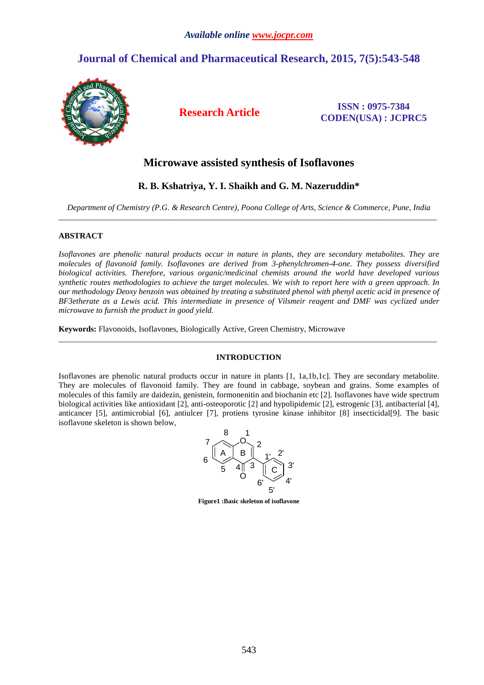# **Journal of Chemical and Pharmaceutical Research, 2015, 7(5):543-548**



**Research Article ISSN : 0975-7384 CODEN(USA) : JCPRC5**

# **Microwave assisted synthesis of Isoflavones**

## **R. B. Kshatriya, Y. I. Shaikh and G. M. Nazeruddin\***

*Department of Chemistry (P.G. & Research Centre), Poona College of Arts, Science & Commerce, Pune, India*  \_\_\_\_\_\_\_\_\_\_\_\_\_\_\_\_\_\_\_\_\_\_\_\_\_\_\_\_\_\_\_\_\_\_\_\_\_\_\_\_\_\_\_\_\_\_\_\_\_\_\_\_\_\_\_\_\_\_\_\_\_\_\_\_\_\_\_\_\_\_\_\_\_\_\_\_\_\_\_\_\_\_\_\_\_\_\_\_\_\_\_\_\_

## **ABSTRACT**

*Isoflavones are phenolic natural products occur in nature in plants, they are secondary metabolites. They are molecules of flavonoid family. Isoflavones are derived from 3-phenylchromen-4-one. They possess diversified biological activities. Therefore, various organic/medicinal chemists around the world have developed various synthetic routes methodologies to achieve the target molecules. We wish to report here with a green approach. In our methodology Deoxy benzoin was obtained by treating a substituted phenol with phenyl acetic acid in presence of BF3etherate as a Lewis acid. This intermediate in presence of Vilsmeir reagent and DMF was cyclized under microwave to furnish the product in good yield.* 

**Keywords:** Flavonoids, Isoflavones, Biologically Active, Green Chemistry, Microwave

## **INTRODUCTION**

\_\_\_\_\_\_\_\_\_\_\_\_\_\_\_\_\_\_\_\_\_\_\_\_\_\_\_\_\_\_\_\_\_\_\_\_\_\_\_\_\_\_\_\_\_\_\_\_\_\_\_\_\_\_\_\_\_\_\_\_\_\_\_\_\_\_\_\_\_\_\_\_\_\_\_\_\_\_\_\_\_\_\_\_\_\_\_\_\_\_\_\_\_

Isoflavones are phenolic natural products occur in nature in plants [1, 1a,1b,1c]. They are secondary metabolite. They are molecules of flavonoid family. They are found in cabbage, soybean and grains. Some examples of molecules of this family are daidezin, genistein, formonenitin and biochanin etc [2]. Isoflavones have wide spectrum biological activities like antioxidant [2], anti-osteoporotic [2] and hypolipidemic [2], estrogenic [3], antibacterial [4], anticancer [5], antimicrobial [6], antiulcer [7], protiens tyrosine kinase inhibitor [8] insecticidal[9]. The basic isoflavone skeleton is shown below,



**Figure1 :Basic skeleton of isoflavone**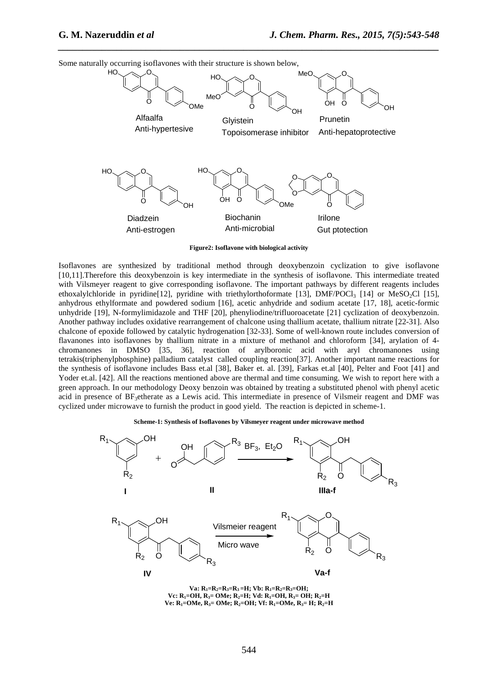

*\_\_\_\_\_\_\_\_\_\_\_\_\_\_\_\_\_\_\_\_\_\_\_\_\_\_\_\_\_\_\_\_\_\_\_\_\_\_\_\_\_\_\_\_\_\_\_\_\_\_\_\_\_\_\_\_\_\_\_\_\_\_\_\_\_\_\_\_\_\_\_\_\_\_\_\_\_\_*

Some naturally occurring isoflavones with their structure is shown below,

**Figure2: Isoflavone with biological activity** 

Isoflavones are synthesized by traditional method through deoxybenzoin cyclization to give isoflavone [10,11].Therefore this deoxybenzoin is key intermediate in the synthesis of isoflavone. This intermediate treated with Vilsmeyer reagent to give corresponding isoflavone. The important pathways by different reagents includes ethoxalylchloride in pyridine[12], pyridine with triethylorthoformate [13], DMF/POCl<sub>3</sub> [14] or MeSO<sub>2</sub>Cl [15], anhydrous ethylformate and powdered sodium [16], acetic anhydride and sodium acetate [17, 18], acetic-formic unhydride [19], N-formylimidazole and THF [20], phenyliodine/trifluoroacetate [21] cyclization of deoxybenzoin. Another pathway includes oxidative rearrangement of chalcone using thallium acetate, thallium nitrate [22-31]. Also chalcone of epoxide followed by catalytic hydrogenation [32-33]. Some of well-known route includes conversion of flavanones into isoflavones by thallium nitrate in a mixture of methanol and chloroform [34], arylation of 4 chromanones in DMSO [35, 36], reaction of arylboronic acid with aryl chromanones using tetrakis(triphenylphosphine) palladium catalyst called coupling reaction[37]. Another important name reactions for the synthesis of isoflavone includes Bass et.al [38], Baker et. al. [39], Farkas et.al [40], Pelter and Foot [41] and Yoder et.al. [42]. All the reactions mentioned above are thermal and time consuming. We wish to report here with a green approach. In our methodology Deoxy benzoin was obtained by treating a substituted phenol with phenyl acetic acid in presence of BF<sub>3</sub>etherate as a Lewis acid. This intermediate in presence of Vilsmeir reagent and DMF was cyclized under microwave to furnish the product in good yield. The reaction is depicted in scheme-1.

**Scheme-1: Synthesis of Isoflavones by Vilsmeyer reagent under microwave method** 



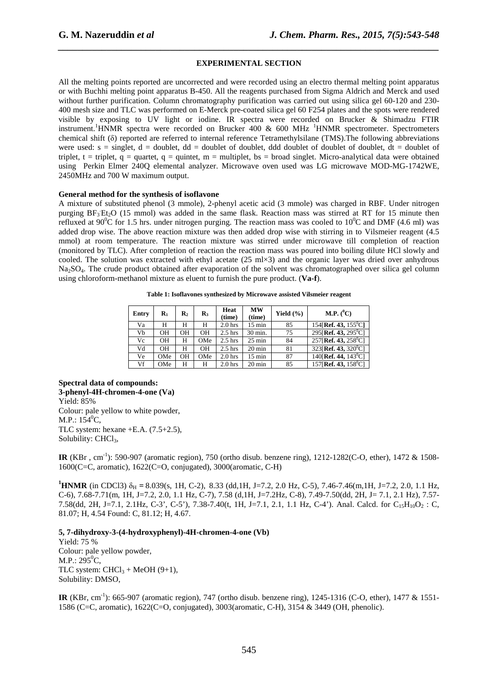## **EXPERIMENTAL SECTION**

*\_\_\_\_\_\_\_\_\_\_\_\_\_\_\_\_\_\_\_\_\_\_\_\_\_\_\_\_\_\_\_\_\_\_\_\_\_\_\_\_\_\_\_\_\_\_\_\_\_\_\_\_\_\_\_\_\_\_\_\_\_\_\_\_\_\_\_\_\_\_\_\_\_\_\_\_\_\_*

All the melting points reported are uncorrected and were recorded using an electro thermal melting point apparatus or with Buchhi melting point apparatus B-450. All the reagents purchased from Sigma Aldrich and Merck and used without further purification. Column chromatography purification was carried out using silica gel 60-120 and 230-400 mesh size and TLC was performed on E-Merck pre-coated silica gel 60 F254 plates and the spots were rendered visible by exposing to UV light or iodine. IR spectra were recorded on Brucker & Shimadzu FTIR instrument.<sup>1</sup>HNMR spectra were recorded on Brucker 400 & 600 MHz <sup>1</sup>HNMR spectrometer. Spectrometers chemical shift (δ) reported are referred to internal reference Tetramethylsilane (TMS).The following abbreviations were used:  $s = \text{singlet}, d = \text{doublet}, dd = \text{doublet}$  of doublet, ddd doublet of doublet of doublet,  $dt =$  doublet of triplet, t = triplet,  $q =$  quartet,  $q =$  quintet,  $m =$  multiplet, bs = broad singlet. Micro-analytical data were obtained using Perkin Elmer 240Q elemental analyzer. Microwave oven used was LG microwave MOD-MG-1742WE, 2450MHz and 700 W maximum output.

#### **General method for the synthesis of isoflavone**

A mixture of substituted phenol (3 mmole), 2-phenyl acetic acid (3 mmole) was charged in RBF. Under nitrogen purging BF<sub>3</sub>Et<sub>2</sub>O (15 mmol) was added in the same flask. Reaction mass was stirred at RT for 15 minute then refluxed at 90<sup>o</sup>C for 1.5 hrs. under nitrogen purging. The reaction mass was cooled to 10<sup>o</sup>C and DMF (4.6 ml) was added drop wise. The above reaction mixture was then added drop wise with stirring in to Vilsmeier reagent (4.5 mmol) at room temperature. The reaction mixture was stirred under microwave till completion of reaction (monitored by TLC). After completion of reaction the reaction mass was poured into boiling dilute HCl slowly and cooled. The solution was extracted with ethyl acetate (25 ml×3) and the organic layer was dried over anhydrous Na<sub>2</sub>SO<sub>4</sub>. The crude product obtained after evaporation of the solvent was chromatographed over silica gel column using chloroform-methanol mixture as eluent to furnish the pure product. (**Va-f**).

| Entry | $\mathbf{R}_1$ | R2        | $\mathbf{R}_3$ | Heat<br>(time) | MW<br>(time)     | Yield $(\% )$ | M.P. $(^{0}C)$                        |
|-------|----------------|-----------|----------------|----------------|------------------|---------------|---------------------------------------|
| Va    | Н              | Н         | Н              | $2.0$ hrs      | $15 \text{ min}$ | 85            | 154 [Ref. 43, $155^{\circ}$ C]        |
| Vb    | OН             | OΗ        | OН             | $2.5$ hrs      | 30 min.          | 75            | 295 [Ref. 43, 295 °C]                 |
| Vc    | OН             | н         | OMe            | $2.5$ hrs      | $25 \text{ min}$ | 84            | $257$ [Ref. 43, $258$ <sup>o</sup> C] |
| Vd    | OН             | Н         | OН             | $2.5$ hrs      | $20 \text{ min}$ | 81            | $323$ [Ref. 43, 320 <sup>0</sup> C]   |
| Ve    | OMe            | <b>OH</b> | OMe            | $2.0$ hrs      | $15 \text{ min}$ | 87            | 140 [Ref. 44, $143^{\circ}$ C]        |
| Vf    | OMe            | н         | Н              | $2.0$ hrs      | $20 \text{ min}$ | 85            | $157$ [Ref. 43, $158$ <sup>o</sup> C] |

**Table 1: Isoflavones synthesized by Microwave assisted Vilsmeier reagent** 

**Spectral data of compounds: 3-phenyl-4H-chromen-4-one (Va)**  Yield: 85% Colour: pale yellow to white powder, M.P.:  $154^{\circ}$ C, TLC system: hexane +E.A. (7.5+2.5), Solubility: CHCl<sub>3</sub>,

**IR** (KBr , cm-1): 590-907 (aromatic region), 750 (ortho disub. benzene ring), 1212-1282(C-O, ether), 1472 & 1508- 1600(C=C, aromatic), 1622(C=O, conjugated), 3000(aromatic, C-H)

**<sup>1</sup>HNMR** (in CDCl3)  $\delta_H = 8.039$ (s, 1H, C-2), 8.33 (dd,1H, J=7.2, 2.0 Hz, C-5), 7.46-7.46(m,1H, J=7.2, 2.0, 1.1 Hz, C-6), 7.68-7.71(m, 1H, J=7.2, 2.0, 1.1 Hz, C-7), 7.58 (d,1H, J=7.2Hz, C-8), 7.49-7.50(dd, 2H, J= 7.1, 2.1 Hz), 7.57- 7.58(dd, 2H, J=7.1, 2.1Hz, C-3', C-5'), 7.38-7.40(t, 1H, J=7.1, 2.1, 1.1 Hz, C-4'). Anal. Calcd. for  $C_1,H_{10}O_2$ : C, 81.07; H, 4.54 Found: C, 81.12; H, 4.67.

**5, 7-dihydroxy-3-(4-hydroxyphenyl)-4H-chromen-4-one (Vb)** 

Yield: 75 % Colour: pale yellow powder, M.P.:  $295^{\circ}$ C, TLC system:  $CHCl<sub>3</sub> + MeOH (9+1)$ , Solubility: DMSO,

**IR** (KBr, cm<sup>-1</sup>): 665-907 (aromatic region), 747 (ortho disub. benzene ring), 1245-1316 (C-O, ether), 1477 & 1551-1586 (C=C, aromatic), 1622(C=O, conjugated), 3003(aromatic, C-H), 3154 & 3449 (OH, phenolic).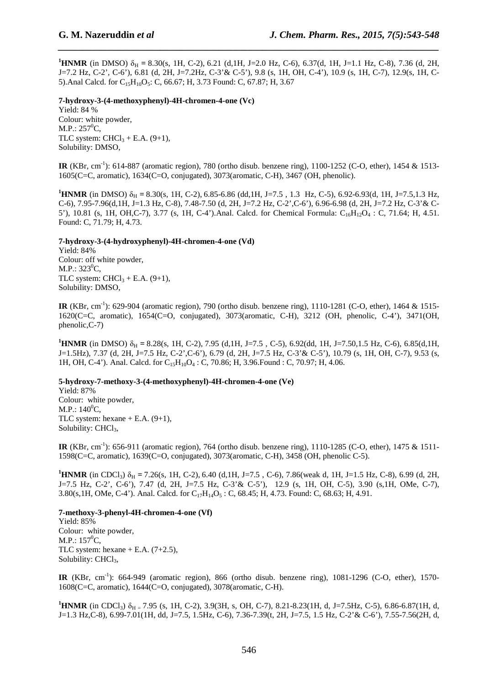**1HNMR** (in DMSO)  $\delta_H = 8.30$ (s, 1H, C-2), 6.21 (d,1H, J=2.0 Hz, C-6), 6.37(d, 1H, J=1.1 Hz, C-8), 7.36 (d, 2H, J=7.2 Hz, C-2', C-6'), 6.81 (d, 2H, J=7.2Hz, C-3'& C-5'), 9.8 (s, 1H, OH, C-4'), 10.9 (s, 1H, C-7), 12.9(s, 1H, C-5).Anal Calcd. for C<sub>15</sub>H<sub>10</sub>O<sub>5</sub>: C, 66.67; H, 3.73 Found: C, 67.87; H, 3.67

*\_\_\_\_\_\_\_\_\_\_\_\_\_\_\_\_\_\_\_\_\_\_\_\_\_\_\_\_\_\_\_\_\_\_\_\_\_\_\_\_\_\_\_\_\_\_\_\_\_\_\_\_\_\_\_\_\_\_\_\_\_\_\_\_\_\_\_\_\_\_\_\_\_\_\_\_\_\_*

**7-hydroxy-3-(4-methoxyphenyl)-4H-chromen-4-one (Vc)** Yield: 84 % Colour: white powder,  $M.P.: 257^0C,$ TLC system:  $CHCl<sub>3</sub> + E.A. (9+1)$ , Solubility: DMSO,

**IR** (KBr, cm<sup>-1</sup>): 614-887 (aromatic region), 780 (ortho disub. benzene ring), 1100-1252 (C-O, ether), 1454 & 1513-1605(C=C, aromatic), 1634(C=O, conjugated), 3073(aromatic, C-H), 3467 (OH, phenolic).

**<sup>1</sup>HNMR** (in DMSO)  $\delta_H = 8.30$ (s, 1H, C-2), 6.85-6.86 (dd,1H, J=7.5, 1.3 Hz, C-5), 6.92-6.93(d, 1H, J=7.5,1.3 Hz, C-6), 7.95-7.96(d,1H, J=1.3 Hz, C-8), 7.48-7.50 (d, 2H, J=7.2 Hz, C-2',C-6'), 6.96-6.98 (d, 2H, J=7.2 Hz, C-3'& C-5'), 10.81 (s, 1H, OH, C-7), 3.77 (s, 1H, C-4'). Anal. Calcd. for Chemical Formula: C<sub>16</sub>H<sub>12</sub>O<sub>4</sub> : C, 71.64; H, 4.51. Found: C, 71.79; H, 4.73.

## **7-hydroxy-3-(4-hydroxyphenyl)-4H-chromen-4-one (Vd)**

Yield: 84% Colour: off white powder,  $M.P.: 323^{0}C.$ TLC system:  $CHCl<sub>3</sub> + E.A. (9+1)$ , Solubility: DMSO,

**IR** (KBr, cm<sup>-1</sup>): 629-904 (aromatic region), 790 (ortho disub. benzene ring), 1110-1281 (C-O, ether), 1464 & 1515-1620(C=C, aromatic), 1654(C=O, conjugated), 3073(aromatic, C-H), 3212 (OH, phenolic, C-4'), 3471(OH, phenolic,C-7)

**<sup>1</sup>HNMR** (in DMSO)  $\delta_H = 8.28$ (s, 1H, C-2), 7.95 (d,1H, J=7.5, C-5), 6.92(dd, 1H, J=7.50,1.5 Hz, C-6), 6.85(d,1H, J=1.5Hz), 7.37 (d, 2H, J=7.5 Hz, C-2',C-6'), 6.79 (d, 2H, J=7.5 Hz, C-3'& C-5'), 10.79 (s, 1H, OH, C-7), 9.53 (s, 1H, OH, C-4'). Anal. Calcd. for C<sub>15</sub>H<sub>10</sub>O<sub>4</sub> : C, 70.86; H, 3.96.Found : C, 70.97; H, 4.06.

## **5-hydroxy-7-methoxy-3-(4-methoxyphenyl)-4H-chromen-4-one (Ve)**

Yield: 87% Colour: white powder,  $M.P.: 140<sup>0</sup>C,$ TLC system: hexane  $+$  E.A. (9+1), Solubility: CHCl<sub>3</sub>,

**IR** (KBr, cm<sup>-1</sup>): 656-911 (aromatic region), 764 (ortho disub. benzene ring), 1110-1285 (C-O, ether), 1475 & 1511-1598(C=C, aromatic), 1639(C=O, conjugated), 3073(aromatic, C-H), 3458 (OH, phenolic C-5).

**1HNMR** (in CDCl<sub>3</sub>)  $\delta_H = 7.26$ (s, 1H, C-2), 6.40 (d, 1H, J=7.5, C-6), 7.86(weak d, 1H, J=1.5 Hz, C-8), 6.99 (d, 2H, J=7.5 Hz, C-2', C-6'), 7.47 (d, 2H, J=7.5 Hz, C-3'& C-5'), 12.9 (s, 1H, OH, C-5), 3.90 (s,1H, OMe, C-7), 3.80(s, 1H, OMe, C-4'). Anal. Calcd. for  $C_{17}H_{14}O_5$ : C, 68.45; H, 4.73. Found: C, 68.63; H, 4.91.

## **7-methoxy-3-phenyl-4H-chromen-4-one (Vf)**

Yield: 85% Colour: white powder, M.P.:  $157^0C$ , TLC system: hexane  $+$  E.A. (7+2.5), Solubility: CHCl<sub>3</sub>,

**IR** (KBr, cm-1): 664-949 (aromatic region), 866 (ortho disub. benzene ring), 1081-1296 (C-O, ether), 1570- 1608(C=C, aromatic), 1644(C=O, conjugated), 3078(aromatic, C-H).

**1HNMR** (in CDCl<sub>3</sub>)  $\delta_{\text{H}}$  = 7.95 (s, 1H, C-2), 3.9(3H, s, OH, C-7), 8.21-8.23(1H, d, J=7.5Hz, C-5), 6.86-6.87(1H, d, J=1.3 Hz,C-8), 6.99-7.01(1H, dd, J=7.5, 1.5Hz, C-6), 7.36-7.39(t, 2H, J=7.5, 1.5 Hz, C-2'& C-6'), 7.55-7.56(2H, d,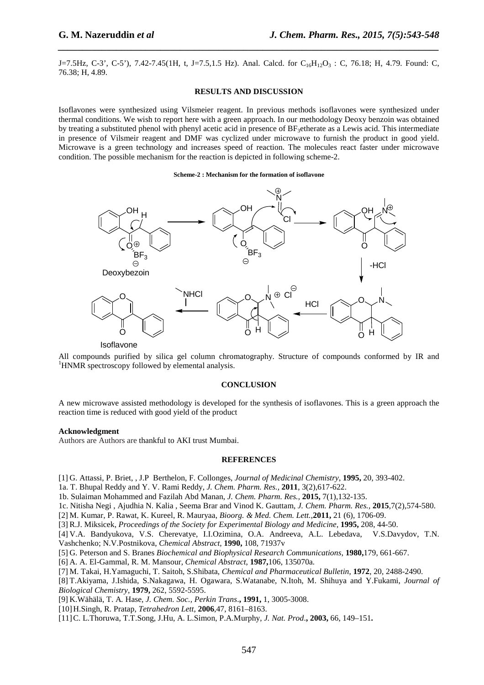J=7.5Hz, C-3', C-5'), 7.42-7.45(1H, t, J=7.5,1.5 Hz). Anal. Calcd. for  $C_{16}H_{12}O_3$ : C, 76.18; H, 4.79. Found: C, 76.38; H, 4.89.

*\_\_\_\_\_\_\_\_\_\_\_\_\_\_\_\_\_\_\_\_\_\_\_\_\_\_\_\_\_\_\_\_\_\_\_\_\_\_\_\_\_\_\_\_\_\_\_\_\_\_\_\_\_\_\_\_\_\_\_\_\_\_\_\_\_\_\_\_\_\_\_\_\_\_\_\_\_\_*

#### **RESULTS AND DISCUSSION**

Isoflavones were synthesized using Vilsmeier reagent. In previous methods isoflavones were synthesized under thermal conditions. We wish to report here with a green approach. In our methodology Deoxy benzoin was obtained by treating a substituted phenol with phenyl acetic acid in presence of  $BF<sub>3</sub>$ etherate as a Lewis acid. This intermediate in presence of Vilsmeir reagent and DMF was cyclized under microwave to furnish the product in good yield. Microwave is a green technology and increases speed of reaction. The molecules react faster under microwave condition. The possible mechanism for the reaction is depicted in following scheme-2.

#### **Scheme-2 : Mechanism for the formation of isoflavone**



Isoflavone

All compounds purified by silica gel column chromatography. Structure of compounds conformed by IR and <sup>1</sup>HNMR spectroscopy followed by elemental analysis.

#### **CONCLUSION**

A new microwave assisted methodology is developed for the synthesis of isoflavones. This is a green approach the reaction time is reduced with good yield of the product

### **Acknowledgment**

Authors are Authors are thankful to AKI trust Mumbai.

### **REFERENCES**

[1] G. Attassi, P. Briet, , J.P Berthelon, F. Collonges, *Journal of Medicinal Chemistry*, **1995,** 20, 393-402.

1a. T. Bhupal Reddy and Y. V. Rami Reddy, *J. Chem. Pharm. Res.,* **2011**, 3(2),617-622.

1b. Sulaiman Mohammed and Fazilah Abd Manan, *J. Chem. Pharm. Res.,* **2015,** 7(1),132-135.

1c. Nitisha Negi , Ajudhia N. Kalia , Seema Brar and Vinod K. Gauttam, *J. Chem. Pharm. Res.,* **2015**,7(2),574-580.

[2] M. Kumar, P. Rawat, K. Kureel, R. Mauryaa, *Bioorg. & Med. Chem. Lett.*,**2011,** 21 (6), 1706-09.

[3] R.J. Miksicek, *Proceedings of the Society for Experimental Biology and Medicine,* **1995,** 208, 44-50.

- [4] V.A. Bandyukova, V.S. Cherevatye, I.I.Ozimina, O.A. Andreeva, A.L. Lebedava, V.S.Davydov, T.N. Vashchenko; N.V.Postnikova, *Chemical Abstract,* **1990,** 108, 71937v
- [5] G. Peterson and S. Branes *Biochemical and Biophysical Research Communications*, **1980,**179, 661-667.

[6] A. A. El-Gammal, R. M. Mansour, *Chemical Abstract*, **1987,**106, 135070a.

[7] M. Takai, H.Yamaguchi, T. Saitoh, S.Shibata, *Chemical and Pharmaceutical Bulletin*, **1972**, 20, 2488-2490.

- [8] T.Akiyama, J.Ishida, S.Nakagawa, H. Ogawara, S.Watanabe, N.Itoh, M. Shihuya and Y.Fukami, *Journal of Biological Chemistry*, **1979,** 262, 5592-5595.
- [9] K.Wähälä, T. A*.* Hase, *J. Chem. Soc., Perkin Trans*.**, 1991,** 1, 3005-3008.
- [10]H.Singh, R. Pratap, *Tetrahedron Lett*, **2006**,47, 8161–8163.
- [11]C. L.Thoruwa, T.T.Song, J.Hu, A. L.Simon, P.A*.*Murphy, *J. Nat. Prod*.**, 2003,** 66, 149–151**.**